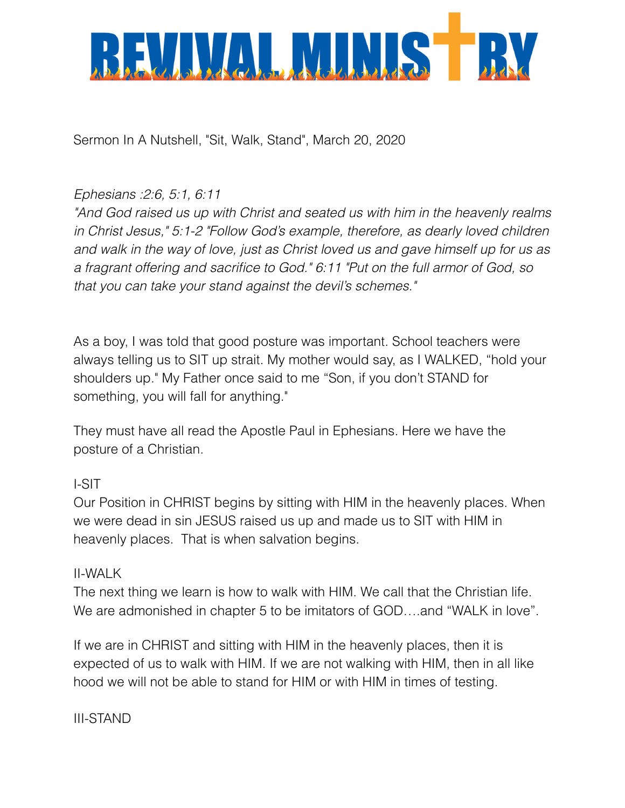

Sermon In A Nutshell, "Sit, Walk, Stand", March 20, 2020

## *Ephesians :2:6, 5:1, 6:11*

*"And God raised us up with Christ and seated us with him in the heavenly realms in Christ Jesus," 5:1-2 "Follow God's example, therefore, as dearly loved children and walk in the way of love, just as Christ loved us and gave himself up for us as a fragrant offering and sacrifice to God." 6:11 "Put on the full armor of God, so that you can take your stand against the devil's schemes."*

As a boy, I was told that good posture was important. School teachers were always telling us to SIT up strait. My mother would say, as I WALKED, "hold your shoulders up." My Father once said to me "Son, if you don't STAND for something, you will fall for anything."

They must have all read the Apostle Paul in Ephesians. Here we have the posture of a Christian.

## I-SIT

Our Position in CHRIST begins by sitting with HIM in the heavenly places. When we were dead in sin JESUS raised us up and made us to SIT with HIM in heavenly places. That is when salvation begins.

## II-WALK

The next thing we learn is how to walk with HIM. We call that the Christian life. We are admonished in chapter 5 to be imitators of GOD….and "WALK in love".

If we are in CHRIST and sitting with HIM in the heavenly places, then it is expected of us to walk with HIM. If we are not walking with HIM, then in all like hood we will not be able to stand for HIM or with HIM in times of testing.

III-STAND